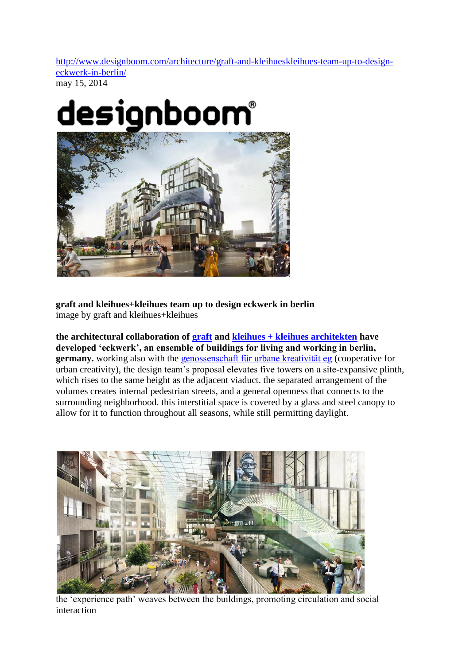[http://www.designboom.com/architecture/graft-and-kleihueskleihues-team-up-to-design](http://www.designboom.com/architecture/graft-and-kleihueskleihues-team-up-to-design-eckwerk-in-berlin/)[eckwerk-in-berlin/](http://www.designboom.com/architecture/graft-and-kleihueskleihues-team-up-to-design-eckwerk-in-berlin/) may 15, 2014



**graft and kleihues+kleihues team up to design eckwerk in berlin** image by graft and kleihues+kleihues

**the architectural collaboration of [graft](http://www.graftlab.com/) and [kleihues + kleihues architekten](http://www.kleihues.com/index.php?lang=en) have developed 'eckwerk', an ensemble of buildings for living and working in berlin, germany.**working also with the genossenschaft für urbane kreativität eg (cooperative for urban creativity), the design team's proposal elevates five towers on a site-expansive plinth, which rises to the same height as the adjacent viaduct. the separated arrangement of the volumes creates internal pedestrian streets, and a general openness that connects to the surrounding neighborhood. this interstitial space is covered by a glass and steel canopy to allow for it to function throughout all seasons, while still permitting daylight.



the 'experience path' weaves between the buildings, promoting circulation and social interaction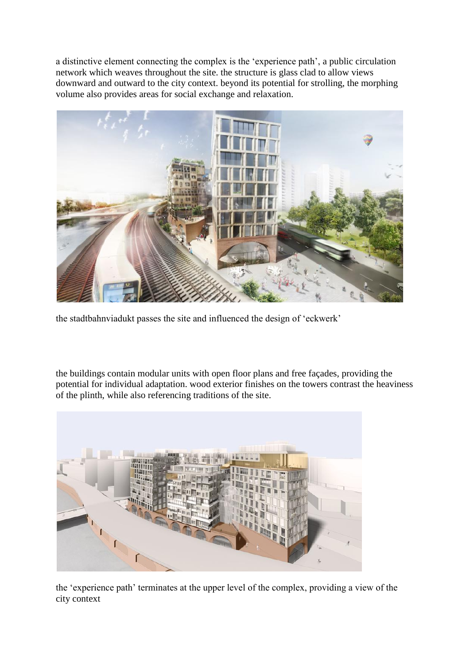a distinctive element connecting the complex is the 'experience path', a public circulation network which weaves throughout the site. the structure is glass clad to allow views downward and outward to the city context. beyond its potential for strolling, the morphing volume also provides areas for social exchange and relaxation.



the stadtbahnviadukt passes the site and influenced the design of 'eckwerk'

the buildings contain modular units with open floor plans and free façades, providing the potential for individual adaptation. wood exterior finishes on the towers contrast the heaviness of the plinth, while also referencing traditions of the site.



the 'experience path' terminates at the upper level of the complex, providing a view of the city context